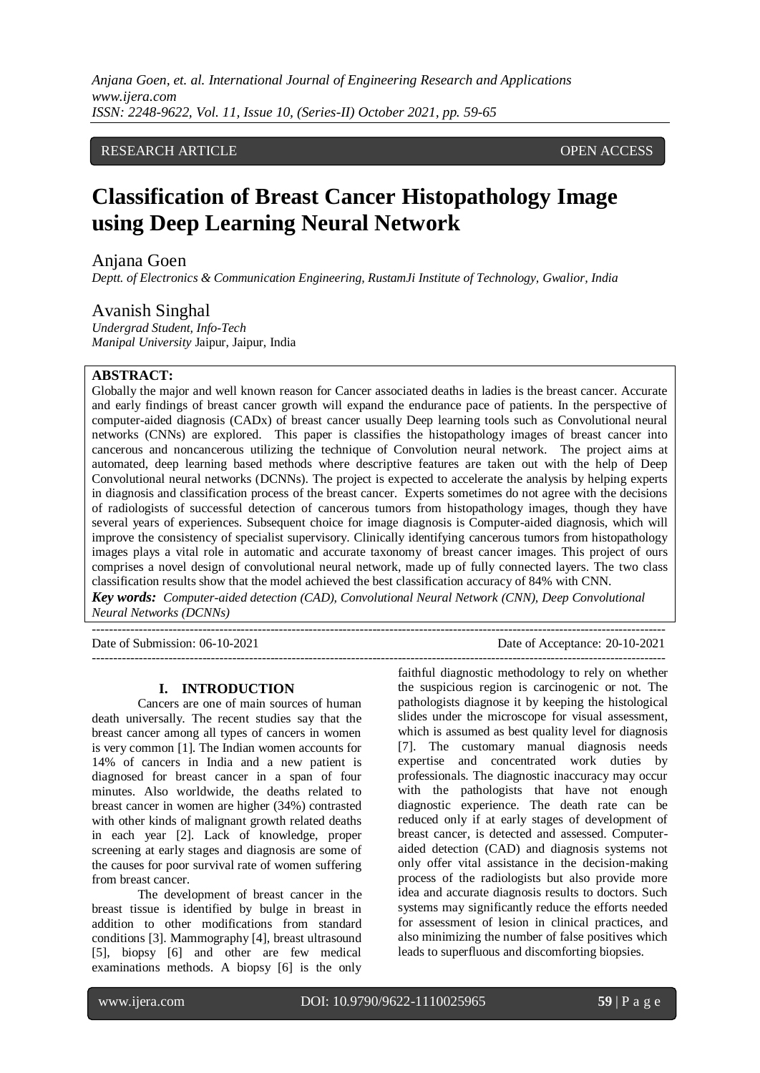# RESEARCH ARTICLE **CONSERVERS** OPEN ACCESS

# **Classification of Breast Cancer Histopathology Image using Deep Learning Neural Network**

# Anjana Goen

*Deptt. of Electronics & Communication Engineering, RustamJi Institute of Technology, Gwalior, India*

# Avanish Singhal

*Undergrad Student, Info-Tech Manipal University* Jaipur, Jaipur, Indi[a](mailto:avanishsinghal149@gmail.com)

# **ABSTRACT:**

Globally the major and well known reason for Cancer associated deaths in ladies is the breast cancer. Accurate and early findings of breast cancer growth will expand the endurance pace of patients. In the perspective of computer-aided diagnosis (CADx) of breast cancer usually Deep learning tools such as Convolutional neural networks (CNNs) are explored. This paper is classifies the histopathology images of breast cancer into cancerous and noncancerous utilizing the technique of Convolution neural network. The project aims at automated, deep learning based methods where descriptive features are taken out with the help of Deep Convolutional neural networks (DCNNs). The project is expected to accelerate the analysis by helping experts in diagnosis and classification process of the breast cancer. Experts sometimes do not agree with the decisions of radiologists of successful detection of cancerous tumors from histopathology images, though they have several years of experiences. Subsequent choice for image diagnosis is Computer-aided diagnosis, which will improve the consistency of specialist supervisory. Clinically identifying cancerous tumors from histopathology images plays a vital role in automatic and accurate taxonomy of breast cancer images. This project of ours comprises a novel design of convolutional neural network, made up of fully connected layers. The two class classification results show that the model achieved the best classification accuracy of 84% with CNN.

*Key words: Computer-aided detection (CAD), Convolutional Neural Network (CNN), Deep Convolutional Neural Networks (DCNNs)*

--------------------------------------------------------------------------------------------------------------------------------------- Date of Submission: 06-10-2021 Date of Acceptance: 20-10-2021

---------------------------------------------------------------------------------------------------------------------------------------

#### **I. INTRODUCTION**

Cancers are one of main sources of human death universally. The recent studies say that the breast cancer among all types of cancers in women is very common [1]. The Indian women accounts for 14% of cancers in India and a new patient is diagnosed for breast cancer in a span of four minutes. Also worldwide, the deaths related to breast cancer in women are higher (34%) contrasted with other kinds of malignant growth related deaths in each year [2]. Lack of knowledge, proper screening at early stages and diagnosis are some of the causes for poor survival rate of women suffering from breast cancer.

The development of breast cancer in the breast tissue is identified by bulge in breast in addition to other modifications from standard conditions [3]. Mammography [4], breast ultrasound [5], biopsy [6] and other are few medical examinations methods. A biopsy [6] is the only faithful diagnostic methodology to rely on whether the suspicious region is carcinogenic or not. The pathologists diagnose it by keeping the histological slides under the microscope for visual assessment, which is assumed as best quality level for diagnosis [7]. The customary manual diagnosis needs expertise and concentrated work duties by professionals. The diagnostic inaccuracy may occur with the pathologists that have not enough diagnostic experience. The death rate can be reduced only if at early stages of development of breast cancer, is detected and assessed. Computeraided detection (CAD) and diagnosis systems not only offer vital assistance in the decision-making process of the radiologists but also provide more idea and accurate diagnosis results to doctors. Such systems may significantly reduce the efforts needed for assessment of lesion in clinical practices, and also minimizing the number of false positives which leads to superfluous and discomforting biopsies.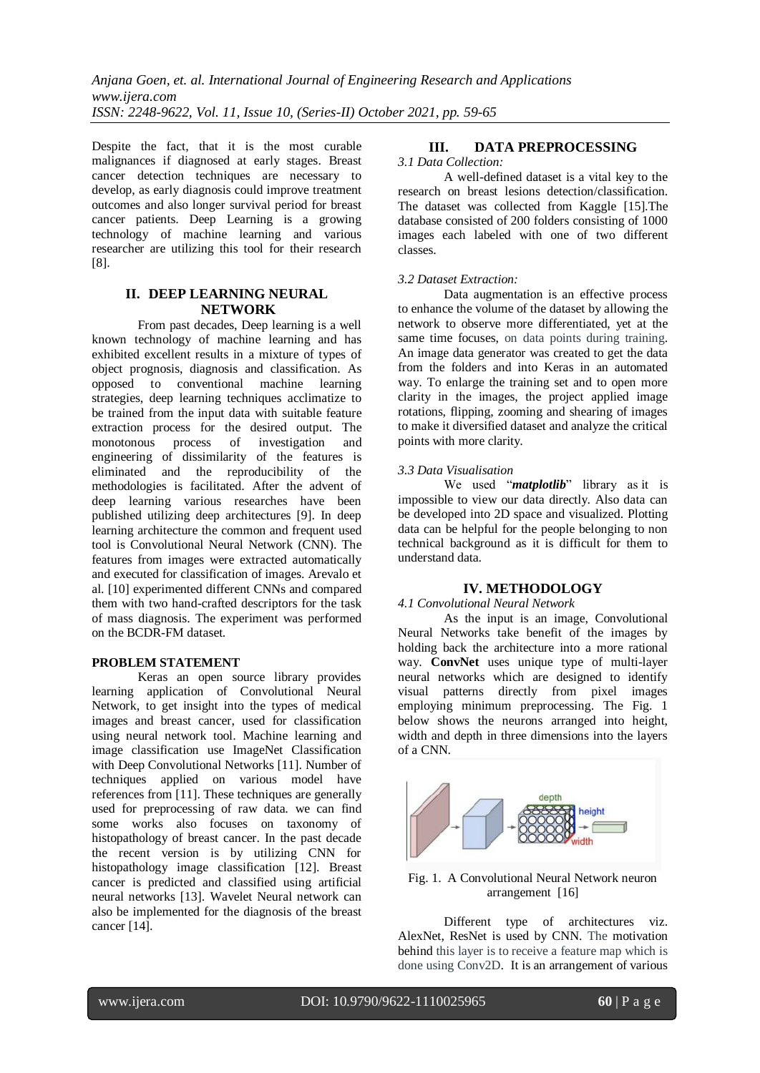Despite the fact, that it is the most curable malignances if diagnosed at early stages. Breast cancer detection techniques are necessary to develop, as early diagnosis could improve treatment outcomes and also longer survival period for breast cancer patients. Deep Learning is a growing technology of machine learning and various researcher are utilizing this tool for their research [8].

# **II. DEEP LEARNING NEURAL NETWORK**

From past decades, Deep learning is a well known technology of machine learning and has exhibited excellent results in a mixture of types of object prognosis, diagnosis and classification. As opposed to conventional machine learning strategies, deep learning techniques acclimatize to be trained from the input data with suitable feature extraction process for the desired output. The monotonous process of investigation and engineering of dissimilarity of the features is eliminated and the reproducibility of the methodologies is facilitated. After the advent of deep learning various researches have been published utilizing deep architectures [9]. In deep learning architecture the common and frequent used tool is Convolutional Neural Network (CNN). The features from images were extracted automatically and executed for classification of images. Arevalo et al. [10] experimented different CNNs and compared them with two hand-crafted descriptors for the task of mass diagnosis. The experiment was performed on the BCDR-FM dataset.

# **PROBLEM STATEMENT**

Keras an open source library provides learning application of Convolutional Neural Network, to get insight into the types of medical images and breast cancer, used for classification using neural network tool. Machine learning and image classification use ImageNet Classification with Deep Convolutional Networks [11]. Number of techniques applied on various model have references from [11]. These techniques are generally used for preprocessing of raw data. we can find some works also focuses on taxonomy of histopathology of breast cancer. In the past decade the recent version is by utilizing CNN for histopathology image classification [12]. Breast cancer is predicted and classified using artificial neural networks [13]. Wavelet Neural network can also be implemented for the diagnosis of the breast cancer [14].

# **III. DATA PREPROCESSING**

#### *3.1 Data Collection:*

A well-defined dataset is a vital key to the research on breast lesions detection/classification. The dataset was collected from Kaggle [15].The database consisted of 200 folders consisting of 1000 images each labeled with one of two different classes.

# *3.2 Dataset Extraction:*

Data augmentation is an effective process to enhance the volume of the dataset by allowing the network to observe more differentiated, yet at the same time focuses, on data points during training. An image data generator was created to get the data from the folders and into Keras in an automated way. To enlarge the training set and to open more clarity in the images, the project applied image rotations, flipping, zooming and shearing of images to make it diversified dataset and analyze the critical points with more clarity.

# *3.3 Data Visualisation*

We used "*matplotlib*" library as it is impossible to view our data directly. Also data can be developed into 2D space and visualized. Plotting data can be helpful for the people belonging to non technical background as it is difficult for them to understand data.

# **IV. METHODOLOGY**

#### *4.1 Convolutional Neural Network*

As the input is an image, Convolutional Neural Networks take benefit of the images by holding back the architecture into a more rational way. **ConvNet** uses unique type of multi-layer neural networks which are designed to identify visual patterns directly from pixel images employing minimum preprocessing. The Fig. 1 below shows the neurons arranged into height, width and depth in three dimensions into the layers of a CNN.



#### Fig. 1. A Convolutional Neural Network neuron arrangement [16]

Different type of architectures viz. AlexNet, ResNet is used by CNN. The motivation behind this layer is to receive a feature map which is done using Conv2D. It is an arrangement of various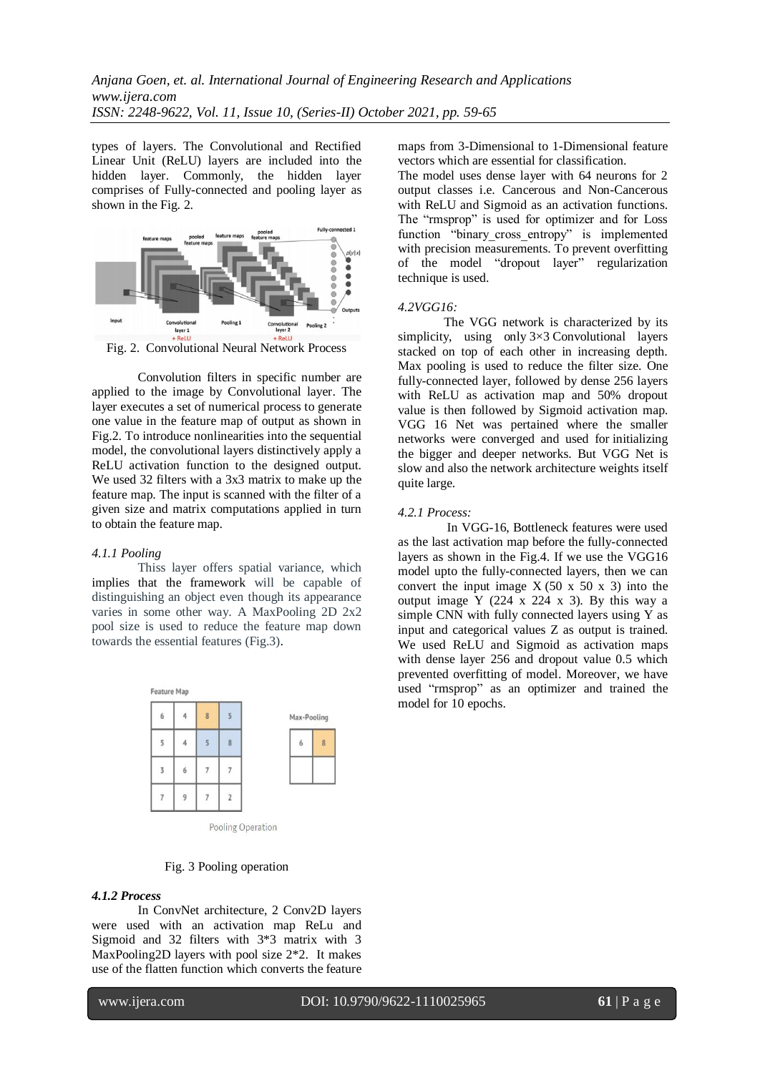types of layers. The Convolutional and Rectified Linear Unit (ReLU) layers are included into the hidden layer. Commonly, the hidden layer comprises of Fully-connected and pooling layer as shown in the Fig. 2.



Fig. 2. Convolutional Neural Network Process

Convolution filters in specific number are applied to the image by Convolutional layer. The layer executes a set of numerical process to generate one value in the feature map of output as shown in Fig.2. To introduce nonlinearities into the sequential model, the convolutional layers distinctively apply a ReLU activation function to the designed output. We used 32 filters with a 3x3 matrix to make up the feature map. The input is scanned with the filter of a given size and matrix computations applied in turn to obtain the feature map.

#### *4.1.1 Pooling*

Thiss layer offers spatial variance, which implies that the framework will be capable of distinguishing an object even though its appearance varies in some other way. A MaxPooling 2D 2x2 pool size is used to reduce the feature map down towards the essential features (Fig.3).



Fig. 3 Pooling operation

#### *4.1.2 Process*

In ConvNet architecture, 2 Conv2D layers were used with an activation map ReLu and Sigmoid and 32 filters with 3\*3 matrix with 3 MaxPooling2D layers with pool size  $2^*2$ . It makes use of the flatten function which converts the feature

l

maps from 3-Dimensional to 1-Dimensional feature vectors which are essential for classification.

The model uses dense layer with 64 neurons for 2 output classes i.e. Cancerous and Non-Cancerous with ReLU and Sigmoid as an activation functions. The "rmsprop" is used for optimizer and for Loss function "binary cross\_entropy" is implemented with precision measurements. To prevent overfitting of the model "dropout layer" regularization technique is used.

#### *4.2VGG16:*

The VGG network is characterized by its simplicity, using only  $3\times3$  Convolutional layers stacked on top of each other in increasing depth. Max pooling is used to reduce the filter size. One fully-connected layer, followed by dense 256 layers with ReLU as activation map and 50% dropout value is then followed by Sigmoid activation map. VGG 16 Net was pertained where the smaller networks were converged and used for initializing the bigger and deeper networks. But VGG Net is slow and also the network architecture weights itself quite large.

#### *4.2.1 Process:*

In VGG-16, Bottleneck features were used as the last activation map before the fully-connected layers as shown in the Fig.4. If we use the VGG16 model upto the fully-connected layers, then we can convert the input image  $X (50 \times 50 \times 3)$  into the output image  $Y$  (224 x 224 x 3). By this way a simple CNN with fully connected layers using Y as input and categorical values Z as output is trained. We used ReLU and Sigmoid as activation maps with dense layer 256 and dropout value 0.5 which prevented overfitting of model. Moreover, we have used "rmsprop" as an optimizer and trained the model for 10 epochs.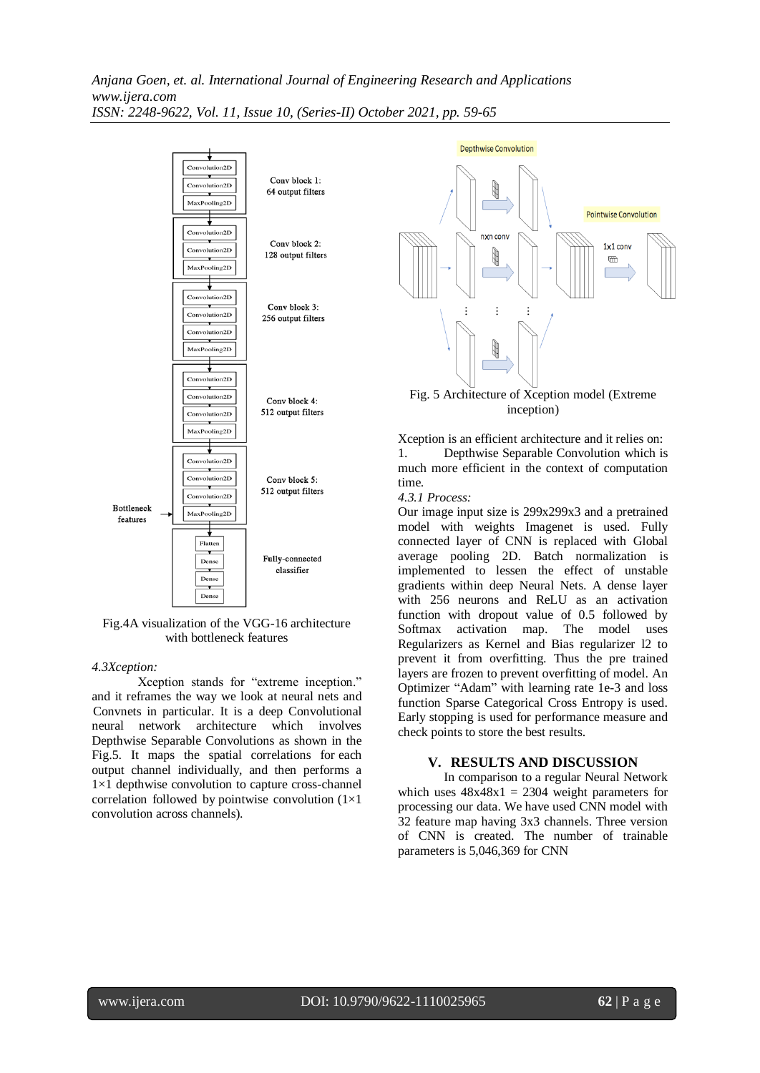

Fig.4A visualization of the VGG-16 architecture with bottleneck features

#### *4.3Xception:*

Xception stands for "extreme inception." and it reframes the way we look at neural nets and Convnets in particular. It is a deep Convolutional neural network architecture which involves Depthwise Separable Convolutions as shown in the Fig.5. It maps the spatial correlations for each output channel individually, and then performs a 1×1 depthwise convolution to capture cross-channel correlation followed by pointwise convolution  $(1\times1)$ convolution across channels).



inception)

Xception is an efficient architecture and it relies on: 1. Depthwise Separable Convolution which is much more efficient in the context of computation time.

#### *4.3.1 Process:*

Our image input size is 299x299x3 and a pretrained model with weights Imagenet is used. Fully connected layer of CNN is replaced with Global average pooling 2D. Batch normalization is implemented to lessen the effect of unstable gradients within deep Neural Nets. A dense layer with 256 neurons and ReLU as an activation function with dropout value of 0.5 followed by Softmax activation map. The model uses Regularizers as Kernel and Bias regularizer l2 to prevent it from overfitting. Thus the pre trained layers are frozen to prevent overfitting of model. An Optimizer "Adam" with learning rate 1e-3 and loss function Sparse Categorical Cross Entropy is used. Early stopping is used for performance measure and check points to store the best results.

# **V. RESULTS AND DISCUSSION**

In comparison to a regular Neural Network which uses  $48x48x1 = 2304$  weight parameters for processing our data. We have used CNN model with 32 feature map having 3x3 channels. Three version of CNN is created. The number of trainable parameters is 5,046,369 for CNN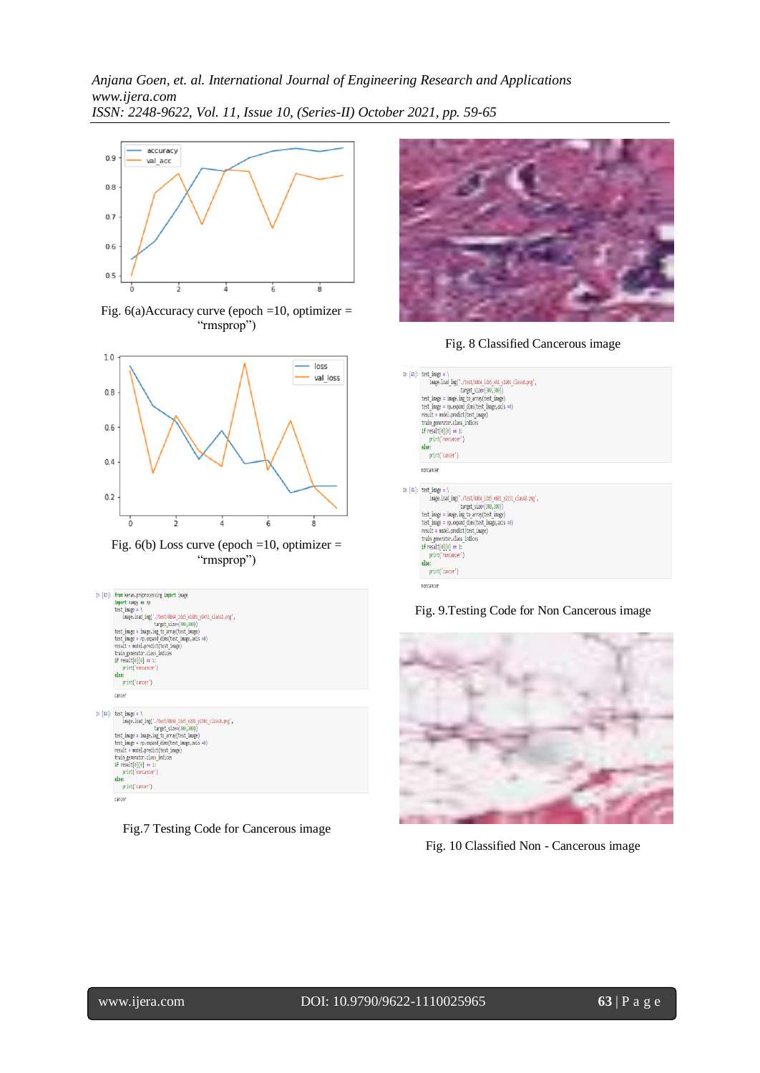# *Anjana Goen, et. al. International Journal of Engineering Research and Applications www.ijera.com ISSN: 2248-9622, Vol. 11, Issue 10, (Series-II) October 2021, pp. 59-65*



Fig. 6(a)Accuracy curve (epoch =10, optimizer = "rmsprop")



Fig.  $6(b)$  Loss curve (epoch =10, optimizer = "rmsprop")







Fig. 8 Classified Cancerous image



Fig. 9.Testing Code for Non Cancerous image



Fig. 10 Classified Non - Cancerous image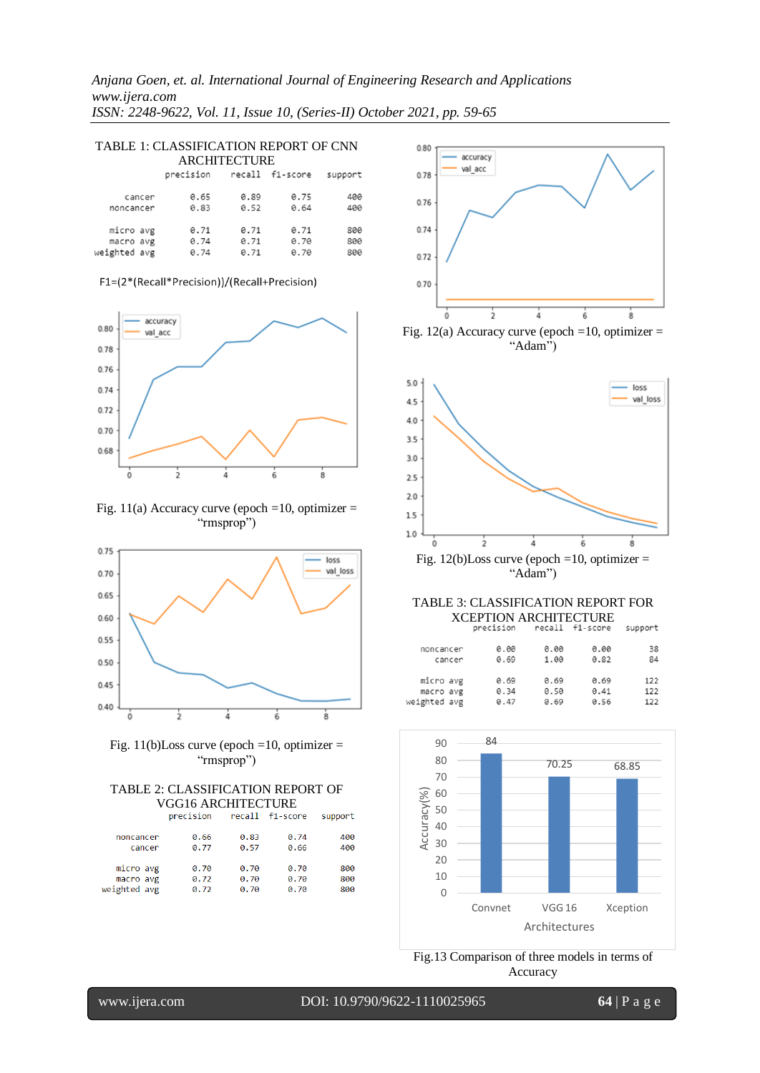*Anjana Goen, et. al. International Journal of Engineering Research and Applications www.ijera.com ISSN: 2248-9622, Vol. 11, Issue 10, (Series-II) October 2021, pp. 59-65*

| TABLE 1: CLASSIFICATION REPORT OF CNN |           |      |                 |         |  |  |  |  |
|---------------------------------------|-----------|------|-----------------|---------|--|--|--|--|
| <b>ARCHITECTURE</b>                   |           |      |                 |         |  |  |  |  |
|                                       | precision |      | recall f1-score | support |  |  |  |  |
| cancer                                | 0.65      | 0.89 | 0.75            | 400     |  |  |  |  |
| noncancer                             | 0.83      | 0.52 | 0.64            | 400     |  |  |  |  |
| micro avg                             | 0.71      | 0.71 | 0.71            | 800     |  |  |  |  |
| macro avg                             | 0.74      | 0.71 | 0.70            | 800     |  |  |  |  |
| weighted avg                          | 0.74      | 0.71 | 0.70            | 800     |  |  |  |  |

#### F1=(2\*(Recall\*Precision))/(Recall+Precision)



Fig. 11(a) Accuracy curve (epoch =10, optimizer = "rmsprop")





# TABLE 2: CLASSIFICATION REPORT OF VGG16 ARCHITECTURE<br>precision recall f1-score

|                           | ------------------ |              |                 |            |  |  |  |  |
|---------------------------|--------------------|--------------|-----------------|------------|--|--|--|--|
|                           | precision          |              | recall f1-score | support    |  |  |  |  |
| noncancer                 | 0.66               | 0.83         | 0.74            | 400        |  |  |  |  |
| cancer                    | 0.77               | 0.57         | 0.66            | 400        |  |  |  |  |
| micro avg                 | 0.70               | 0.70         | 0.70            | 800        |  |  |  |  |
| macro avg<br>weighted avg | 0.72<br>0.72       | 0.70<br>0.70 | 0.70<br>0.70    | 800<br>800 |  |  |  |  |
|                           |                    |              |                 |            |  |  |  |  |



| .                      |        | ----         | ----         | ----         | --         |
|------------------------|--------|--------------|--------------|--------------|------------|
|                        | cancer | 0.69         | 1.00         | 0.82         | 84         |
| micro avg<br>macro avg |        | 0.69<br>0.34 | 0.69<br>0.50 | 0.69<br>0.41 | 122<br>122 |
| weighted avg           |        | 0.47         | 0.69         | 0.56         | 122        |
|                        |        |              |              |              |            |



Fig.13 Comparison of three models in terms of Accuracy

l

www.ijera.com DOI: 10.9790/9622-1110025965 **64** | P a g e